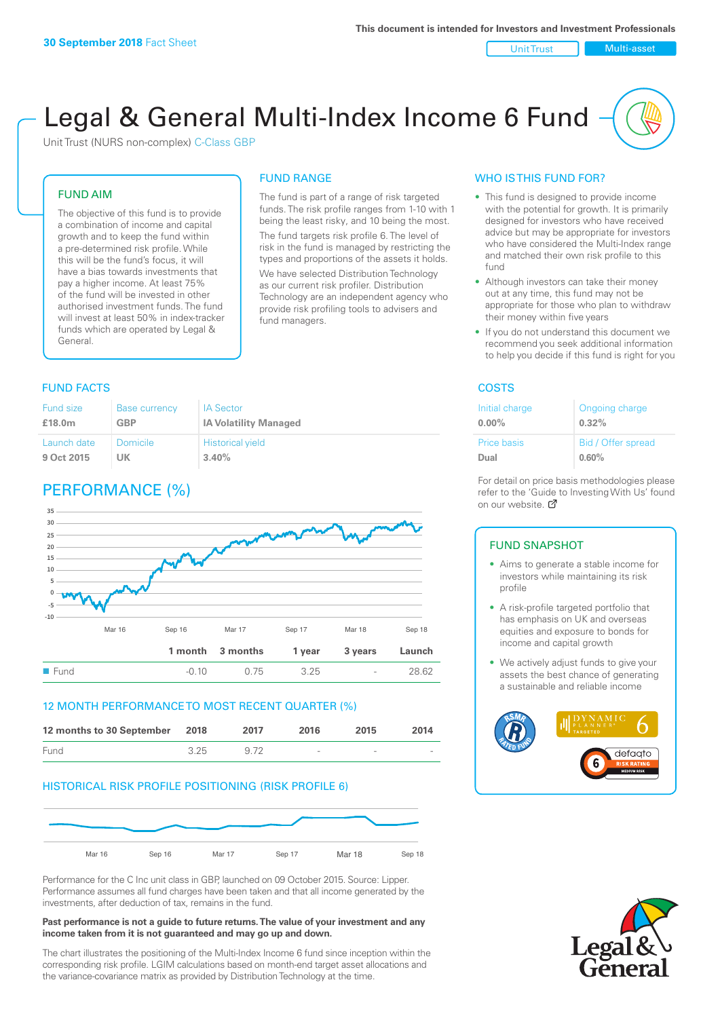Unit Trust Nulti-asset

# Legal & General Multi-Index Income 6 Fund

Unit Trust (NURS non-complex) C-Class GBP

#### FUND AIM

The objective of this fund is to provide a combination of income and capital growth and to keep the fund within a pre-determined risk profile. While this will be the fund's focus, it will have a bias towards investments that pay a higher income. At least 75% of the fund will be invested in other authorised investment funds. The fund will invest at least 50% in index-tracker funds which are operated by Legal & General.

## The fund is part of a range of risk targeted

FUND RANGE

funds. The risk profile ranges from 1-10 with 1 being the least risky, and 10 being the most. The fund targets risk profile 6. The level of risk in the fund is managed by restricting the types and proportions of the assets it holds.

We have selected Distribution Technology as our current risk profiler. Distribution Technology are an independent agency who provide risk profiling tools to advisers and fund managers.

### **FUND FACTS** COSTS

| <b>Fund size</b> | <b>Base currency</b> | <b>IA Sector</b>             |
|------------------|----------------------|------------------------------|
| £18.0m           | GBP                  | <b>IA Volatility Managed</b> |
| Launch date      | Domicile             | <b>Historical yield</b>      |
| 9 Oct 2015       | UK                   | 3.40%                        |

# PERFORMANCE (%)



#### 12 MONTH PERFORMANCE TO MOST RECENT QUARTER (%)

| 12 months to 30 September 2018 |      | 2017 | 2016                     | 2015                     | 2014   |
|--------------------------------|------|------|--------------------------|--------------------------|--------|
| <b>Fund</b>                    | 3 25 |      | $\overline{\phantom{a}}$ | $\overline{\phantom{0}}$ | $\sim$ |

#### HISTORICAL RISK PROFILE POSITIONING (RISK PROFILE 6)



Performance for the C Inc unit class in GBP, launched on 09 October 2015. Source: Lipper. Performance assumes all fund charges have been taken and that all income generated by the investments, after deduction of tax, remains in the fund.

#### **Past performance is not a guide to future returns. The value of your investment and any income taken from it is not guaranteed and may go up and down.**

The chart illustrates the positioning of the Multi-Index Income 6 fund since inception within the corresponding risk profile. LGIM calculations based on month-end target asset allocations and the variance-covariance matrix as provided by Distribution Technology at the time.

#### WHO IS THIS FUND FOR?

- This fund is designed to provide income with the potential for growth. It is primarily designed for investors who have received advice but may be appropriate for investors who have considered the Multi-Index range and matched their own risk profile to this fund
- Although investors can take their money out at any time, this fund may not be appropriate for those who plan to withdraw their money within five years
- If you do not understand this document we recommend you seek additional information to help you decide if this fund is right for you

| Initial charge | Ongoing charge     |
|----------------|--------------------|
| $0.00\%$       | $0.32\%$           |
| Price basis    | Bid / Offer spread |
| Dual           | 0.60%              |

For detail on price basis methodologies please refer to the 'Guide to Investing With Us' found on our website. Ø

#### FUND SNAPSHOT

- Aims to generate a stable income for investors while maintaining its risk profile
- A risk-profile targeted portfolio that has emphasis on UK and overseas equities and exposure to bonds for income and capital growth
- We actively adjust funds to give your assets the best chance of generating a sustainable and reliable income



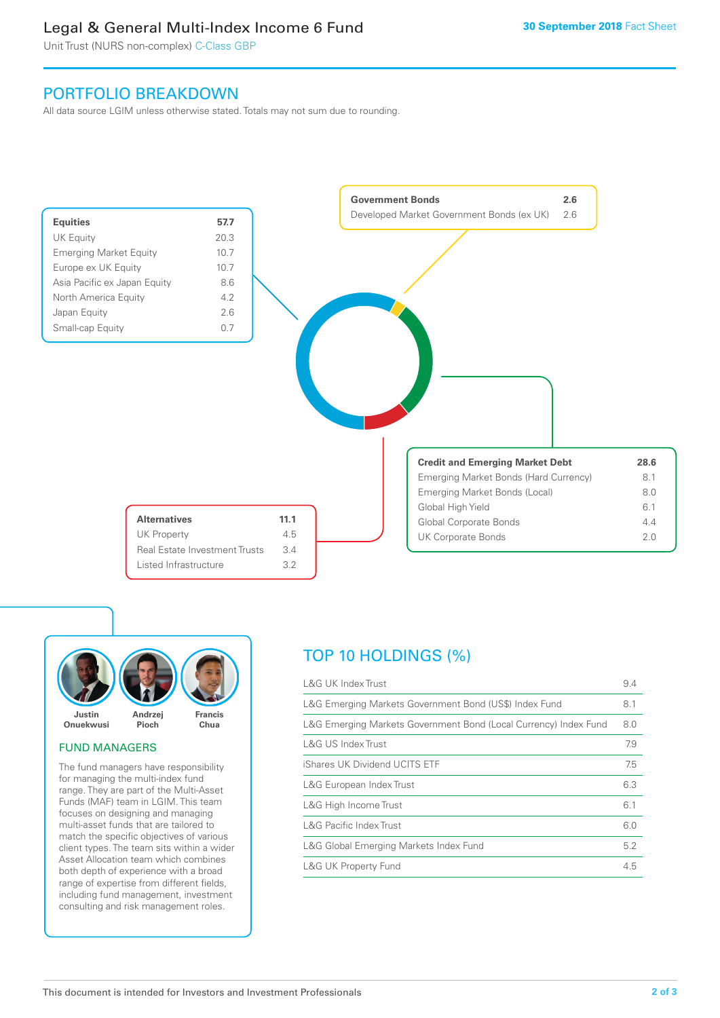# Legal & General Multi-Index Income 6 Fund

Unit Trust (NURS non-complex) C-Class GBP

# PORTFOLIO BREAKDOWN

All data source LGIM unless otherwise stated. Totals may not sum due to rounding.





#### FUND MANAGERS

The fund managers have responsibility for managing the multi-index fund range. They are part of the Multi-Asset Funds (MAF) team in LGIM. This team focuses on designing and managing multi-asset funds that are tailored to match the specific objectives of various client types. The team sits within a wider Asset Allocation team which combines both depth of experience with a broad range of expertise from different fields, including fund management, investment consulting and risk management roles.

# TOP 10 HOLDINGS (%)

| <b>L&amp;G UK Index Trust</b>                                    | 9.4 |
|------------------------------------------------------------------|-----|
| L&G Emerging Markets Government Bond (US\$) Index Fund           | 8.1 |
| L&G Emerging Markets Government Bond (Local Currency) Index Fund | 8.0 |
| <b>L&amp;G US Index Trust</b>                                    | 7.9 |
| iShares UK Dividend UCITS ETF                                    | 7.5 |
| L&G European Index Trust                                         | 6.3 |
| L&G High Income Trust                                            | 6.1 |
| <b>L&amp;G Pacific Index Trust</b>                               | 6.0 |
| L&G Global Emerging Markets Index Fund                           | 5.2 |
| <b>L&amp;G UK Property Fund</b>                                  | 4.5 |